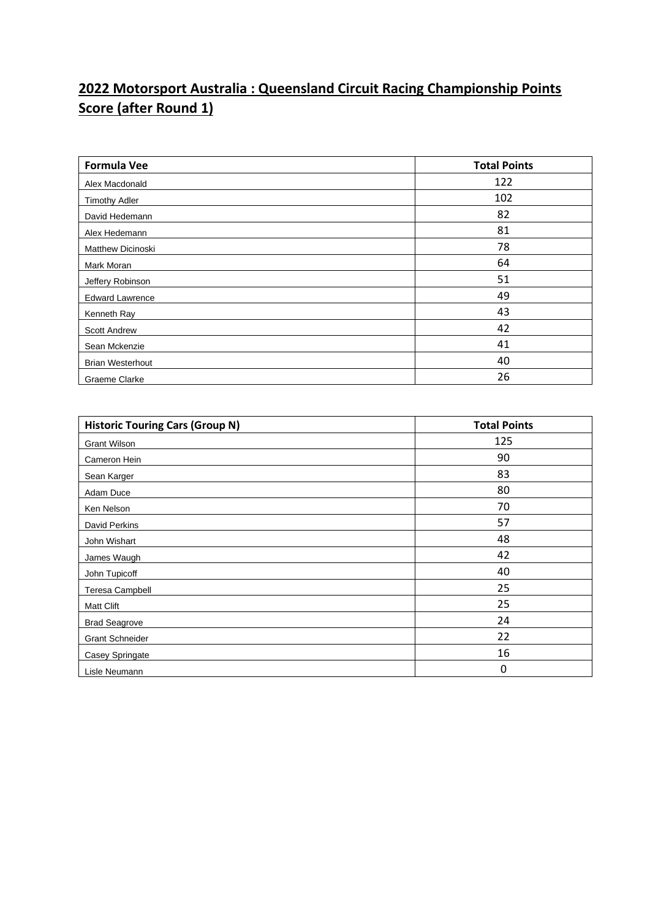## **2022 Motorsport Australia : Queensland Circuit Racing Championship Points Score (after Round 1)**

| <b>Formula Vee</b>       | <b>Total Points</b> |
|--------------------------|---------------------|
| Alex Macdonald           | 122                 |
| <b>Timothy Adler</b>     | 102                 |
| David Hedemann           | 82                  |
| Alex Hedemann            | 81                  |
| <b>Matthew Dicinoski</b> | 78                  |
| Mark Moran               | 64                  |
| Jeffery Robinson         | 51                  |
| <b>Edward Lawrence</b>   | 49                  |
| Kenneth Ray              | 43                  |
| <b>Scott Andrew</b>      | 42                  |
| Sean Mckenzie            | 41                  |
| <b>Brian Westerhout</b>  | 40                  |
| Graeme Clarke            | 26                  |

| <b>Historic Touring Cars (Group N)</b> | <b>Total Points</b> |
|----------------------------------------|---------------------|
| <b>Grant Wilson</b>                    | 125                 |
| Cameron Hein                           | 90                  |
| Sean Karger                            | 83                  |
| Adam Duce                              | 80                  |
| Ken Nelson                             | 70                  |
| David Perkins                          | 57                  |
| John Wishart                           | 48                  |
| James Waugh                            | 42                  |
| John Tupicoff                          | 40                  |
| <b>Teresa Campbell</b>                 | 25                  |
| <b>Matt Clift</b>                      | 25                  |
| <b>Brad Seagrove</b>                   | 24                  |
| <b>Grant Schneider</b>                 | 22                  |
| Casey Springate                        | 16                  |
| Lisle Neumann                          | 0                   |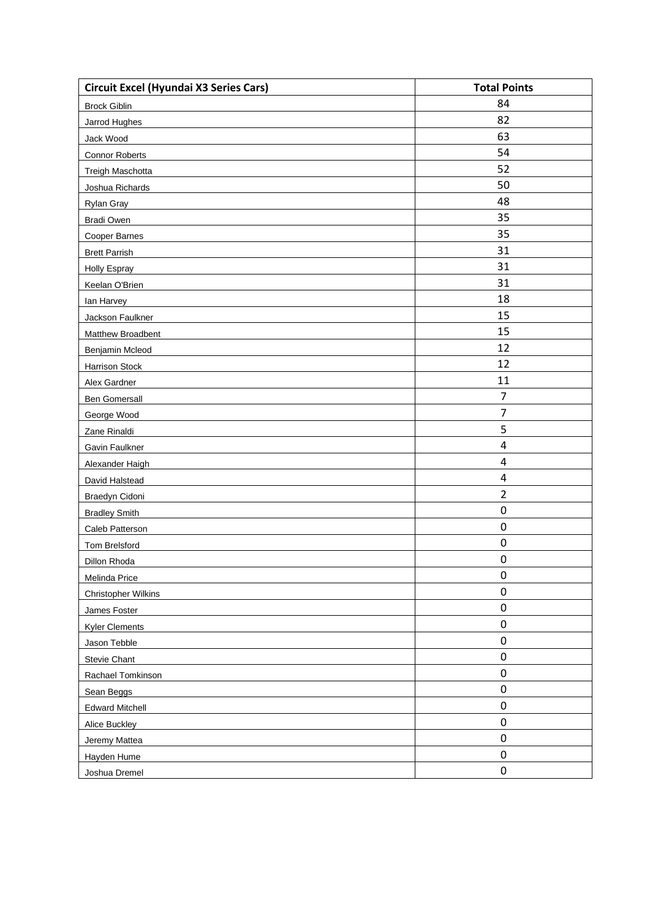| <b>Circuit Excel (Hyundai X3 Series Cars)</b> | <b>Total Points</b>     |
|-----------------------------------------------|-------------------------|
| <b>Brock Giblin</b>                           | 84                      |
| Jarrod Hughes                                 | 82                      |
| Jack Wood                                     | 63                      |
| <b>Connor Roberts</b>                         | 54                      |
| <b>Treigh Maschotta</b>                       | 52                      |
| Joshua Richards                               | 50                      |
| <b>Rylan Gray</b>                             | 48                      |
| <b>Bradi Owen</b>                             | 35                      |
| Cooper Barnes                                 | 35                      |
| <b>Brett Parrish</b>                          | 31                      |
| <b>Holly Espray</b>                           | 31                      |
| Keelan O'Brien                                | 31                      |
| lan Harvey                                    | 18                      |
| Jackson Faulkner                              | 15                      |
| Matthew Broadbent                             | 15                      |
| Benjamin Mcleod                               | 12                      |
| <b>Harrison Stock</b>                         | 12                      |
| Alex Gardner                                  | 11                      |
| <b>Ben Gomersall</b>                          | $\overline{7}$          |
| George Wood                                   | 7                       |
| Zane Rinaldi                                  | 5                       |
| Gavin Faulkner                                | $\overline{\mathbf{4}}$ |
| Alexander Haigh                               | $\pmb{4}$               |
| David Halstead                                | 4                       |
| <b>Braedyn Cidoni</b>                         | $\overline{2}$          |
| <b>Bradley Smith</b>                          | $\boldsymbol{0}$        |
| Caleb Patterson                               | $\boldsymbol{0}$        |
| <b>Tom Brelsford</b>                          | $\boldsymbol{0}$        |
| Dillon Rhoda                                  | $\boldsymbol{0}$        |
| Melinda Price                                 | $\boldsymbol{0}$        |
| <b>Christopher Wilkins</b>                    | $\boldsymbol{0}$        |
| James Foster                                  | $\pmb{0}$               |
| <b>Kyler Clements</b>                         | $\pmb{0}$               |
| Jason Tebble                                  | $\pmb{0}$               |
| <b>Stevie Chant</b>                           | $\pmb{0}$               |
| Rachael Tomkinson                             | $\pmb{0}$               |
| Sean Beggs                                    | $\pmb{0}$               |
| <b>Edward Mitchell</b>                        | $\pmb{0}$               |
| Alice Buckley                                 | $\pmb{0}$               |
| Jeremy Mattea                                 | $\pmb{0}$               |
| Hayden Hume                                   | $\pmb{0}$               |
| Joshua Dremel                                 | $\pmb{0}$               |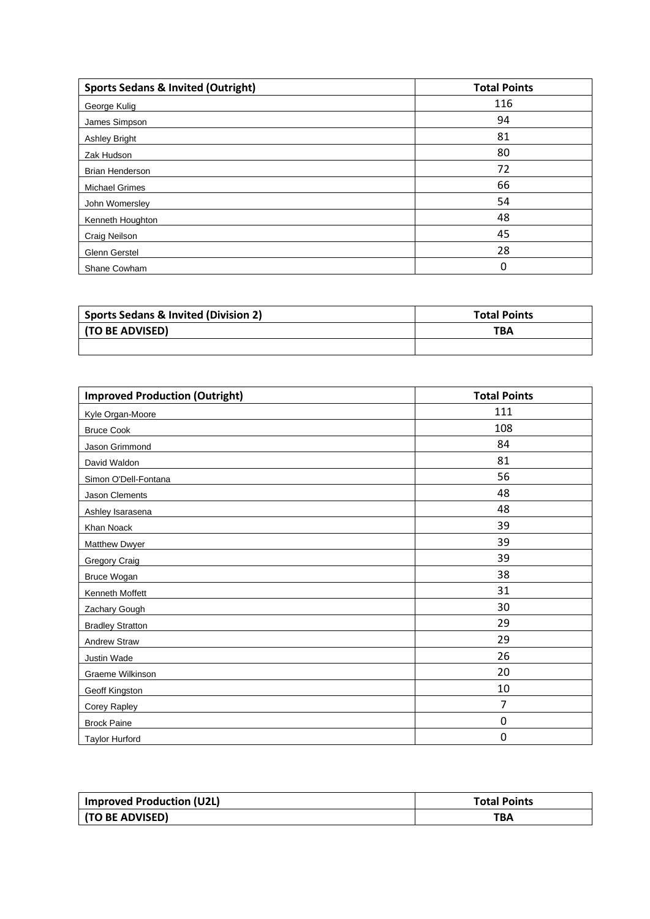| <b>Sports Sedans &amp; Invited (Outright)</b> | <b>Total Points</b> |
|-----------------------------------------------|---------------------|
| George Kulig                                  | 116                 |
| James Simpson                                 | 94                  |
| <b>Ashley Bright</b>                          | 81                  |
| Zak Hudson                                    | 80                  |
| <b>Brian Henderson</b>                        | 72                  |
| <b>Michael Grimes</b>                         | 66                  |
| John Womersley                                | 54                  |
| Kenneth Houghton                              | 48                  |
| Craig Neilson                                 | 45                  |
| Glenn Gerstel                                 | 28                  |
| Shane Cowham                                  | 0                   |

| <b>Sports Sedans &amp; Invited (Division 2)</b> | <b>Total Points</b> |
|-------------------------------------------------|---------------------|
| (TO BE ADVISED)                                 | <b>TBA</b>          |
|                                                 |                     |

| <b>Improved Production (Outright)</b> | <b>Total Points</b> |
|---------------------------------------|---------------------|
| Kyle Organ-Moore                      | 111                 |
| <b>Bruce Cook</b>                     | 108                 |
| Jason Grimmond                        | 84                  |
| David Waldon                          | 81                  |
| Simon O'Dell-Fontana                  | 56                  |
| Jason Clements                        | 48                  |
| Ashley Isarasena                      | 48                  |
| Khan Noack                            | 39                  |
| Matthew Dwyer                         | 39                  |
| <b>Gregory Craig</b>                  | 39                  |
| Bruce Wogan                           | 38                  |
| Kenneth Moffett                       | 31                  |
| Zachary Gough                         | 30                  |
| <b>Bradley Stratton</b>               | 29                  |
| <b>Andrew Straw</b>                   | 29                  |
| Justin Wade                           | 26                  |
| Graeme Wilkinson                      | 20                  |
| <b>Geoff Kingston</b>                 | 10                  |
| <b>Corey Rapley</b>                   | 7                   |
| <b>Brock Paine</b>                    | 0                   |
| <b>Taylor Hurford</b>                 | 0                   |

| Improved Production (U2L) | <b>Total Points</b> |
|---------------------------|---------------------|
| (TO BE ADVISED)           | ТВА                 |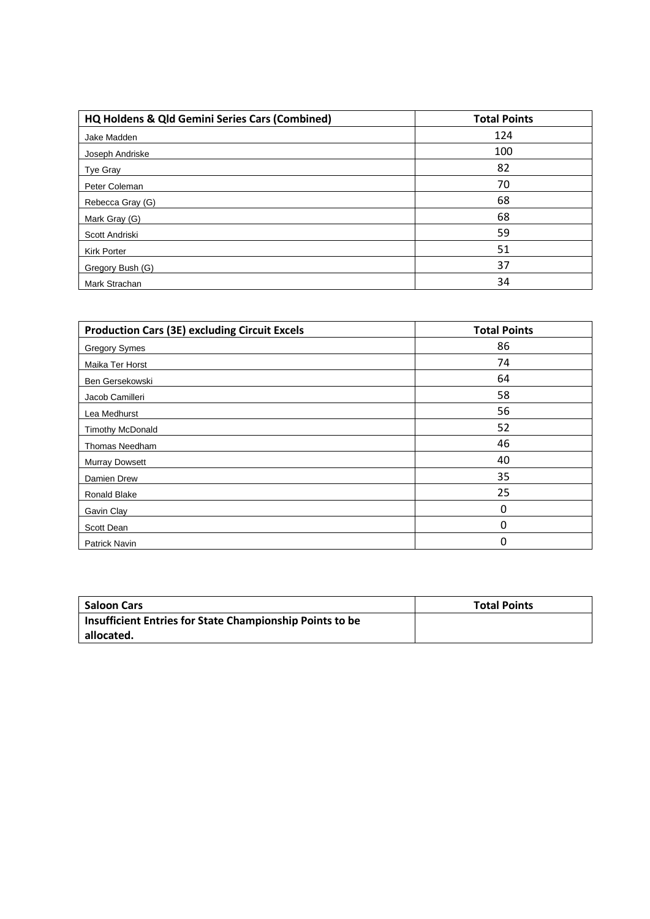| HQ Holdens & Qld Gemini Series Cars (Combined) | <b>Total Points</b> |
|------------------------------------------------|---------------------|
| Jake Madden                                    | 124                 |
| Joseph Andriske                                | 100                 |
| Tye Gray                                       | 82                  |
| Peter Coleman                                  | 70                  |
| Rebecca Gray (G)                               | 68                  |
| Mark Gray (G)                                  | 68                  |
| Scott Andriski                                 | 59                  |
| <b>Kirk Porter</b>                             | 51                  |
| Gregory Bush (G)                               | 37                  |
| Mark Strachan                                  | 34                  |

| <b>Production Cars (3E) excluding Circuit Excels</b> | <b>Total Points</b> |
|------------------------------------------------------|---------------------|
| <b>Gregory Symes</b>                                 | 86                  |
| Maika Ter Horst                                      | 74                  |
| Ben Gersekowski                                      | 64                  |
| Jacob Camilleri                                      | 58                  |
| Lea Medhurst                                         | 56                  |
| <b>Timothy McDonald</b>                              | 52                  |
| Thomas Needham                                       | 46                  |
| <b>Murray Dowsett</b>                                | 40                  |
| Damien Drew                                          | 35                  |
| Ronald Blake                                         | 25                  |
| Gavin Clay                                           | 0                   |
| Scott Dean                                           | $\Omega$            |
| Patrick Navin                                        | $\Omega$            |

| <b>Saloon Cars</b>                                       | <b>Total Points</b> |
|----------------------------------------------------------|---------------------|
| Insufficient Entries for State Championship Points to be |                     |
| allocated.                                               |                     |